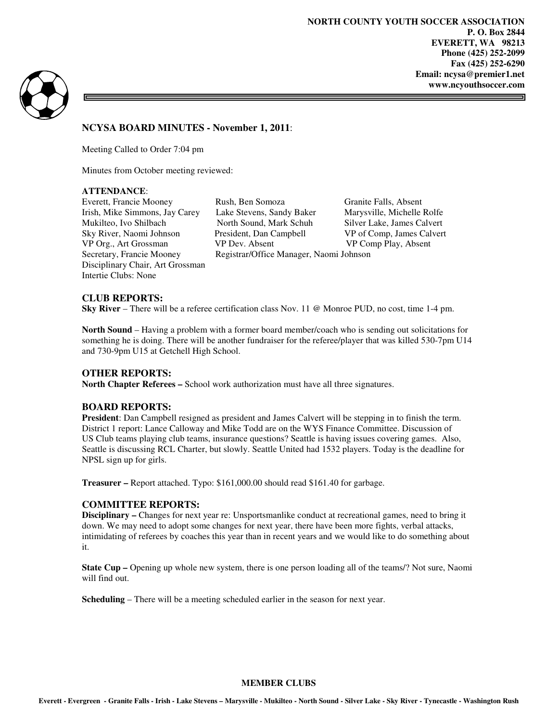**NORTH COUNTY YOUTH SOCCER ASSOCIATION P. O. Box 2844 EVERETT, WA 98213 Phone (425) 252-2099 Fax (425) 252-6290 Email: ncysa@premier1.net www.ncyouthsoccer.com** 



# **NCYSA BOARD MINUTES - November 1, 2011**:

Meeting Called to Order 7:04 pm

Minutes from October meeting reviewed:

## **ATTENDANCE**:

Everett, Francie Mooney Rush, Ben Somoza Granite Falls, Absent Disciplinary Chair, Art Grossman Intertie Clubs: None

Irish, Mike Simmons, Jay Carey Lake Stevens, Sandy Baker Marysville, Michelle Rolfe Sky River, Naomi Johnson President, Dan Campbell VP of Comp, James Calvert VP Org., Art Grossman VP Dev. Absent VP Comp Play, Absent Secretary, Francie Mooney Registrar/Office Manager, Naomi Johnson

Silver Lake, James Calvert

### **CLUB REPORTS:**

**Sky River** – There will be a referee certification class Nov. 11 @ Monroe PUD, no cost, time 1-4 pm.

**North Sound** – Having a problem with a former board member/coach who is sending out solicitations for something he is doing. There will be another fundraiser for the referee/player that was killed 530-7pm U14 and 730-9pm U15 at Getchell High School.

### **OTHER REPORTS:**

**North Chapter Referees –** School work authorization must have all three signatures.

### **BOARD REPORTS:**

**President**: Dan Campbell resigned as president and James Calvert will be stepping in to finish the term. District 1 report: Lance Calloway and Mike Todd are on the WYS Finance Committee. Discussion of US Club teams playing club teams, insurance questions? Seattle is having issues covering games. Also, Seattle is discussing RCL Charter, but slowly. Seattle United had 1532 players. Today is the deadline for NPSL sign up for girls.

**Treasurer –** Report attached. Typo: \$161,000.00 should read \$161.40 for garbage.

### **COMMITTEE REPORTS:**

**Disciplinary –** Changes for next year re: Unsportsmanlike conduct at recreational games, need to bring it down. We may need to adopt some changes for next year, there have been more fights, verbal attacks, intimidating of referees by coaches this year than in recent years and we would like to do something about it.

**State Cup – Opening up whole new system, there is one person loading all of the teams/? Not sure, Naomi** will find out.

**Scheduling** – There will be a meeting scheduled earlier in the season for next year.

### **MEMBER CLUBS**